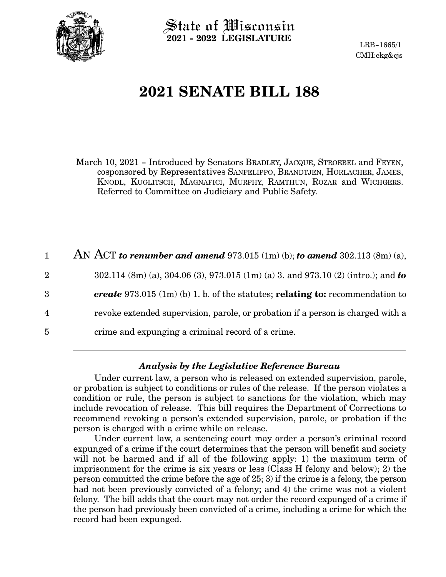

State of Wisconsin **2021 - 2022 LEGISLATURE**

LRB-1665/1 CMH:ekg&cjs

# **2021 SENATE BILL 188**

March 10, 2021 - Introduced by Senators BRADLEY, JACQUE, STROEBEL and FEYEN, cosponsored by Representatives SANFELIPPO, BRANDTJEN, HORLACHER, JAMES, KNODL, KUGLITSCH, MAGNAFICI, MURPHY, RAMTHUN, ROZAR and WICHGERS. Referred to Committee on Judiciary and Public Safety.

|                | AN ACT to renumber and amend 973.015 (1m) (b); to amend 302.113 (8m) (a),            |
|----------------|--------------------------------------------------------------------------------------|
| $\overline{2}$ | 302.114 (8m) (a), 304.06 (3), 973.015 (1m) (a) 3. and 973.10 (2) (intro.); and to    |
| 3              | <i>create</i> 973.015 (1m) (b) 1. b. of the statutes; relating to: recommendation to |
| 4              | revoke extended supervision, parole, or probation if a person is charged with a      |
| 5              | crime and expunging a criminal record of a crime.                                    |

# *Analysis by the Legislative Reference Bureau*

Under current law, a person who is released on extended supervision, parole, or probation is subject to conditions or rules of the release. If the person violates a condition or rule, the person is subject to sanctions for the violation, which may include revocation of release. This bill requires the Department of Corrections to recommend revoking a person's extended supervision, parole, or probation if the person is charged with a crime while on release.

Under current law, a sentencing court may order a person's criminal record expunged of a crime if the court determines that the person will benefit and society will not be harmed and if all of the following apply: 1) the maximum term of imprisonment for the crime is six years or less (Class H felony and below); 2) the person committed the crime before the age of 25; 3) if the crime is a felony, the person had not been previously convicted of a felony; and 4) the crime was not a violent felony. The bill adds that the court may not order the record expunged of a crime if the person had previously been convicted of a crime, including a crime for which the record had been expunged.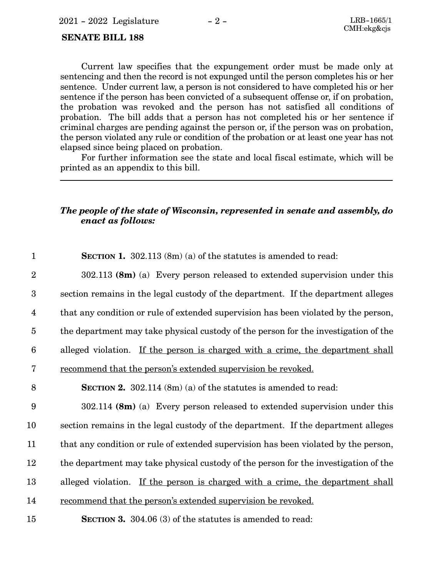#### **SENATE BILL 188**

Current law specifies that the expungement order must be made only at sentencing and then the record is not expunged until the person completes his or her sentence. Under current law, a person is not considered to have completed his or her sentence if the person has been convicted of a subsequent offense or, if on probation, the probation was revoked and the person has not satisfied all conditions of probation. The bill adds that a person has not completed his or her sentence if criminal charges are pending against the person or, if the person was on probation, the person violated any rule or condition of the probation or at least one year has not elapsed since being placed on probation.

For further information see the state and local fiscal estimate, which will be printed as an appendix to this bill.

## *The people of the state of Wisconsin, represented in senate and assembly, do enact as follows:*

| $\mathbf{1}$     | <b>SECTION 1.</b> 302.113 $(8m)(a)$ of the statutes is amended to read:             |
|------------------|-------------------------------------------------------------------------------------|
| $\overline{2}$   | $302.113$ (8m) (a) Every person released to extended supervision under this         |
| $\boldsymbol{3}$ | section remains in the legal custody of the department. If the department alleges   |
| $\overline{4}$   | that any condition or rule of extended supervision has been violated by the person, |
| $\overline{5}$   | the department may take physical custody of the person for the investigation of the |
| $6\phantom{1}6$  | alleged violation. If the person is charged with a crime, the department shall      |
| 7                | <u>recommend</u> that the person's extended supervision be revoked.                 |
| 8                | <b>SECTION 2.</b> 302.114 (8m) (a) of the statutes is amended to read:              |
| 9                | $302.114$ (8m) (a) Every person released to extended supervision under this         |
| 10               | section remains in the legal custody of the department. If the department alleges   |
| 11               | that any condition or rule of extended supervision has been violated by the person, |
| 12               | the department may take physical custody of the person for the investigation of the |
| 13               | alleged violation. If the person is charged with a crime, the department shall      |
| 14               | recommend that the person's extended supervision be revoked.                        |
| 15               | SECTION 3. 304.06 (3) of the statutes is amended to read:                           |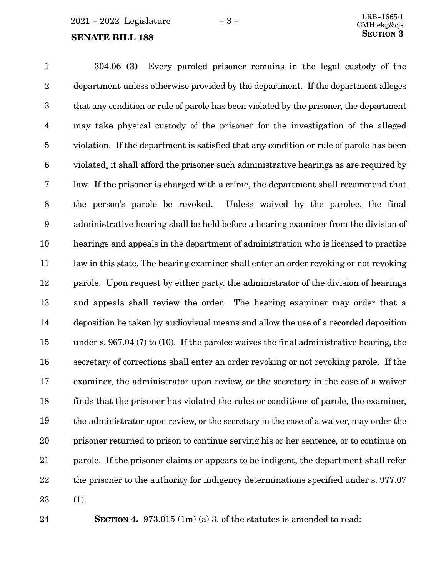#### **SENATE BILL 188**

304.06 **(3)** Every paroled prisoner remains in the legal custody of the department unless otherwise provided by the department. If the department alleges that any condition or rule of parole has been violated by the prisoner, the department may take physical custody of the prisoner for the investigation of the alleged violation. If the department is satisfied that any condition or rule of parole has been violated, it shall afford the prisoner such administrative hearings as are required by law. If the prisoner is charged with a crime, the department shall recommend that the person's parole be revoked. Unless waived by the parolee, the final administrative hearing shall be held before a hearing examiner from the division of hearings and appeals in the department of administration who is licensed to practice law in this state. The hearing examiner shall enter an order revoking or not revoking parole. Upon request by either party, the administrator of the division of hearings and appeals shall review the order. The hearing examiner may order that a deposition be taken by audiovisual means and allow the use of a recorded deposition under s. 967.04 (7) to (10). If the parolee waives the final administrative hearing, the secretary of corrections shall enter an order revoking or not revoking parole. If the examiner, the administrator upon review, or the secretary in the case of a waiver finds that the prisoner has violated the rules or conditions of parole, the examiner, the administrator upon review, or the secretary in the case of a waiver, may order the prisoner returned to prison to continue serving his or her sentence, or to continue on parole. If the prisoner claims or appears to be indigent, the department shall refer the prisoner to the authority for indigency determinations specified under s. 977.07 (1). 1 2 3 4 5 6 7 8 9 10 11 12 13 14 15 16 17 18 19 20 21 22 23

24

**SECTION 4.** 973.015 (1m) (a) 3. of the statutes is amended to read: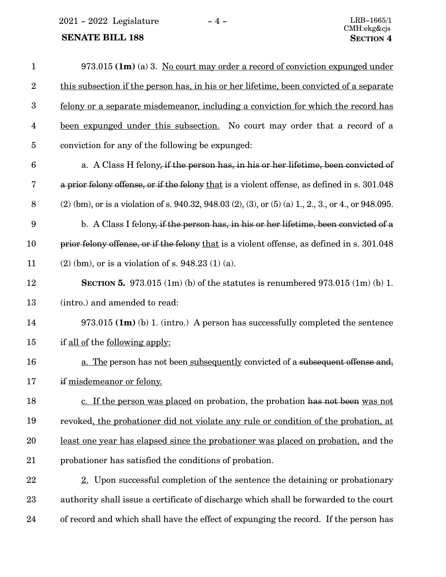$2021$  -  $2022$  Legislature - 4 -

# **SENATE BILL 188**

| $\mathbf{1}$     | 973.015 (1m) (a) 3. No court may order a record of conviction expunged under                                 |
|------------------|--------------------------------------------------------------------------------------------------------------|
| $\boldsymbol{2}$ | this subsection if the person has, in his or her lifetime, been convicted of a separate                      |
| $\boldsymbol{3}$ | felony or a separate misdemeanor, including a conviction for which the record has                            |
| $\overline{4}$   | been expunged under this subsection. No court may order that a record of a                                   |
| $\bf 5$          | conviction for any of the following be expunged:                                                             |
| $\boldsymbol{6}$ | a. A Class H felony, if the person has, in his or her lifetime, been convicted of                            |
| 7                | a prior felony offense, or if the felony that is a violent offense, as defined in s. 301.048                 |
| 8                | $(2)$ (bm), or is a violation of s. 940.32, 948.03 $(2)$ , $(3)$ , or $(5)$ $(a)$ 1, 2, 3, or 4, or 948.095. |
| 9                | b. A Class I felony, if the person has, in his or her lifetime, been convicted of a                          |
| 10               | prior felony offense, or if the felony that is a violent offense, as defined in s. 301.048                   |
| 11               | $(2)$ (bm), or is a violation of s. 948.23 (1) (a).                                                          |
| 12               | <b>SECTION 5.</b> 973.015 (1m) (b) of the statures is renumbered 973.015 (1m) (b) 1.                         |
| 13               | (intro.) and amended to read:                                                                                |
| 14               | $973.015$ (1m) (b) 1. (intro.) A person has successfully completed the sentence                              |
| 15               | if all of the following apply:                                                                               |
| 16               | a. The person has not been subsequently convicted of a subsequent offense and,                               |
| 17               | if misdemeanor or felony.                                                                                    |
| 18               | c. If the person was placed on probation, the probation has not been was not                                 |
| 19               | revoked, the probationer did not violate any rule or condition of the probation, at                          |
| 20               | least one year has elapsed since the probationer was placed on probation, and the                            |
| 21               | probationer has satisfied the conditions of probation.                                                       |
| 22               | 2. Upon successful completion of the sentence the detaining or probationary                                  |
| 23               | authority shall issue a certificate of discharge which shall be forwarded to the court                       |
| 24               | of record and which shall have the effect of expunging the record. If the person has                         |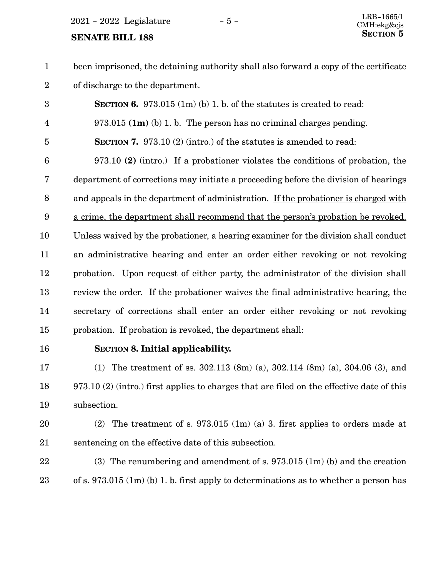$2021 - 2022$  Legislature  $-5 -$ 

#### **SENATE BILL 188**

been imprisoned, the detaining authority shall also forward a copy of the certificate of discharge to the department. 1 2

**SECTION 6.** 973.015 (1m) (b) 1. b. of the statutes is created to read: 973.015 **(1m)** (b) 1. b. The person has no criminal charges pending. **SECTION 7.** 973.10 (2) (intro.) of the statutes is amended to read: 973.10 **(2)** (intro.) If a probationer violates the conditions of probation, the department of corrections may initiate a proceeding before the division of hearings and appeals in the department of administration. If the probationer is charged with a crime, the department shall recommend that the person's probation be revoked. Unless waived by the probationer, a hearing examiner for the division shall conduct an administrative hearing and enter an order either revoking or not revoking probation. Upon request of either party, the administrator of the division shall review the order. If the probationer waives the final administrative hearing, the secretary of corrections shall enter an order either revoking or not revoking probation. If probation is revoked, the department shall: 3 4 5 6 7 8 9 10 11 12 13 14 15

16

## **SECTION** 8. Initial applicability.

(1) The treatment of ss. 302.113 (8m) (a), 302.114 (8m) (a), 304.06 (3), and 973.10 (2) (intro.) first applies to charges that are filed on the effective date of this subsection. 17 18 19

- (2) The treatment of s. 973.015 (1m) (a) 3. first applies to orders made at sentencing on the effective date of this subsection. 20 21
- (3) The renumbering and amendment of s. 973.015 (1m) (b) and the creation of s. 973.015 (1m) (b) 1. b. first apply to determinations as to whether a person has 22 23